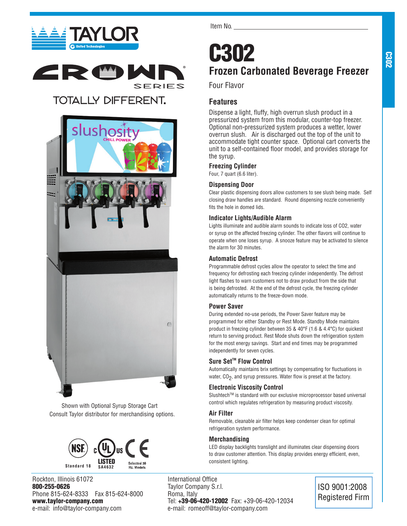



## **TOTALLY DIFFERENT.**



Shown with Optional Syrup Storage Cart Consult Taylor distributor for merchandising options.



Rockton, Illinois 61072 800-255-0626 Phone 815-624-8333 Fax 815-624-8000 www.taylor-company.com e-mail: info@taylor-company.com

Item No.

## C302 **Frozen Carbonated Beverage Freezer**

Four Flavor

## **Features**

Dispense a light, fluffy, high overrun slush product in a pressurized system from this modular, counter-top freezer. Optional non-pressurized system produces a wetter, lower overrun slush. Air is discharged out the top of the unit to accommodate tight counter space. Optional cart converts the unit to a self-contained floor model, and provides storage for the syrup.

## **Freezing Cylinder**

Four, 7 quart (6.6 liter).

## **Dispensing Door**

Clear plastic dispensing doors allow customers to see slush being made. Self closing draw handles are standard. Round dispensing nozzle conveniently fits the hole in domed lids.

## **Indicator Lights/Audible Alarm**

Lights illuminate and audible alarm sounds to indicate loss of CO2, water or syrup on the affected freezing cylinder. The other flavors will continue to operate when one loses syrup. A snooze feature may be activated to silence the alarm for 30 minutes.

## **Automatic Defrost**

Programmable defrost cycles allow the operator to select the time and frequency for defrosting each freezing cylinder independently. The defrost light flashes to warn customers not to draw product from the side that is being defrosted. At the end of the defrost cycle, the freezing cylinder automatically returns to the freeze-down mode.

## **Power Saver**

During extended no-use periods, the Power Saver feature may be programmed for either Standby or Rest Mode. Standby Mode maintains product in freezing cylinder between 35 & 40°F (1.6 & 4.4°C) for quickest return to serving product. Rest Mode shuts down the refrigeration system for the most energy savings. Start and end times may be programmed independently for seven cycles.

## Sure Set<sup>™</sup> Flow Control

Automatically maintains brix settings by compensating for fluctuations in water,  $CO<sub>2</sub>$ , and syrup pressures. Water flow is preset at the factory.

## **Electronic Viscosity Control**

Slushtech™ is standard with our exclusive microprocessor based universal control which regulates refrigeration by measuring product viscosity.

## **Air Filter**

Removable, cleanable air filter helps keep condenser clean for optimal refrigeration system performance.

## **Merchandising**

LED display backlights translight and illuminates clear dispensing doors to draw customer attention. This display provides energy efficient, even, consistent lighting.

International Office Taylor Company S.r.l. Roma, Italy Tel: +39-06-420-12002 Fax: +39-06-420-12034 e-mail: romeoff@taylor-company.com